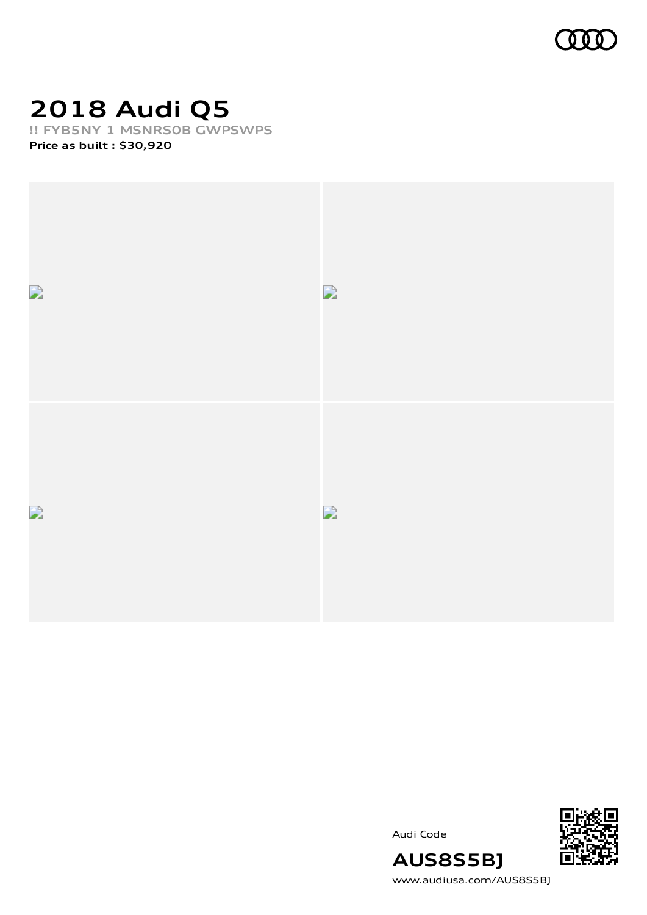

# **2018 Audi Q5**

**!! FYB5NY 1 MSNRS0B GWPSWPS**

**Price as built [:](#page-6-0) \$30,920**





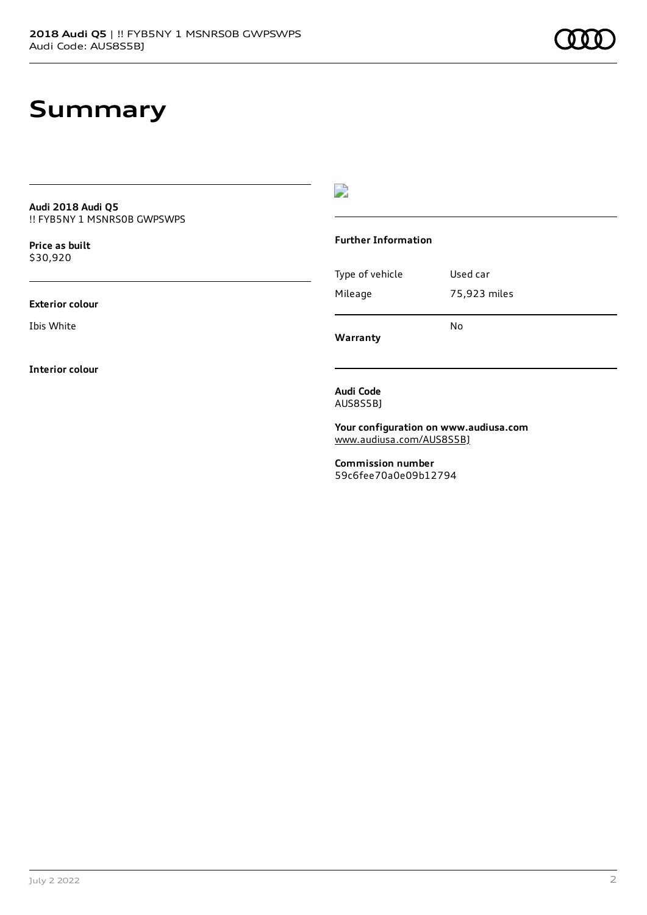#### **Summary**

**Audi 2018 Audi Q5** !! FYB5NY 1 MSNRS0B GWPSWPS

**Price as buil[t](#page-6-0)** \$30,920

**Exterior colour**

Ibis White

**Interior colour**

 $\overline{\phantom{a}}$ 

#### **Further Information**

Type of vehicle Used car Mileage 75,923 miles No

**Warranty**

**Audi Code** AUS8S5BJ

**Your configuration on www.audiusa.com** [www.audiusa.com/AUS8S5BJ](https://www.audiusa.com/AUS8S5BJ)

**Commission number** 59c6fee70a0e09b12794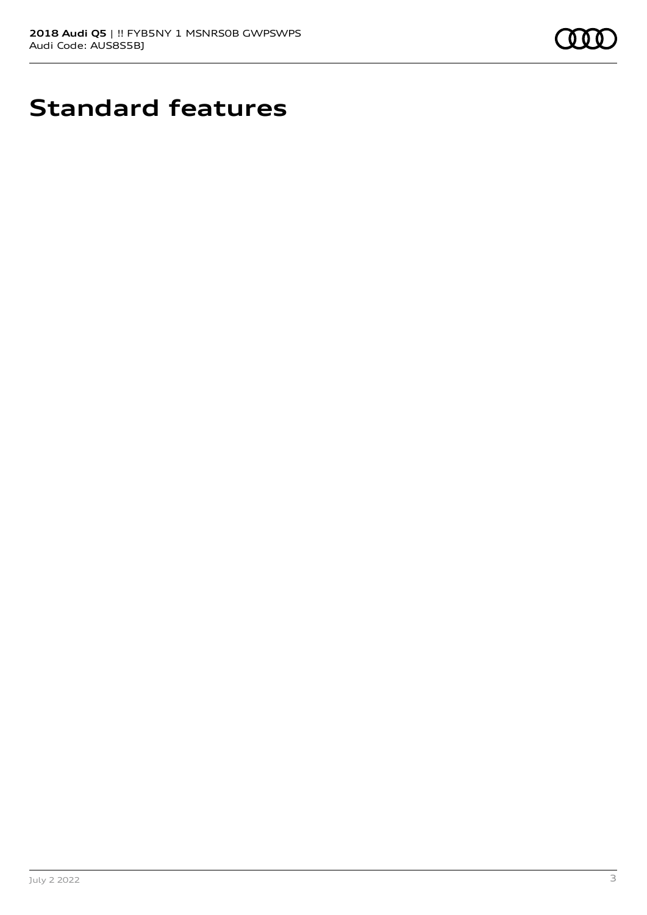

# **Standard features**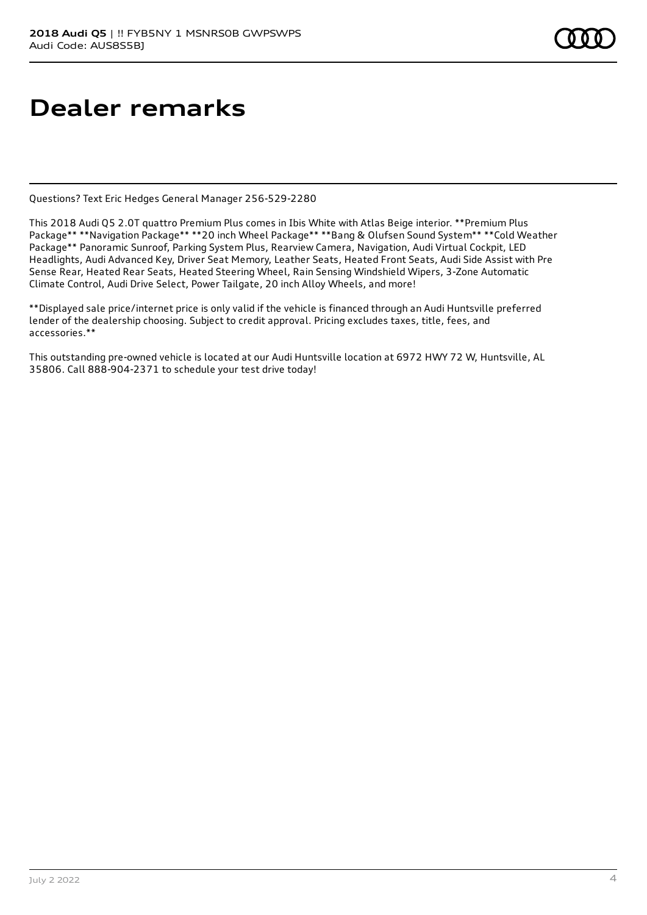# **Dealer remarks**

Questions? Text Eric Hedges General Manager 256-529-2280

This 2018 Audi Q5 2.0T quattro Premium Plus comes in Ibis White with Atlas Beige interior. \*\*Premium Plus Package\*\* \*\*Navigation Package\*\* \*\*20 inch Wheel Package\*\* \*\*Bang & Olufsen Sound System\*\* \*\*Cold Weather Package\*\* Panoramic Sunroof, Parking System Plus, Rearview Camera, Navigation, Audi Virtual Cockpit, LED Headlights, Audi Advanced Key, Driver Seat Memory, Leather Seats, Heated Front Seats, Audi Side Assist with Pre Sense Rear, Heated Rear Seats, Heated Steering Wheel, Rain Sensing Windshield Wipers, 3-Zone Automatic Climate Control, Audi Drive Select, Power Tailgate, 20 inch Alloy Wheels, and more!

\*\*Displayed sale price/internet price is only valid if the vehicle is financed through an Audi Huntsville preferred lender of the dealership choosing. Subject to credit approval. Pricing excludes taxes, title, fees, and accessories.\*\*

This outstanding pre-owned vehicle is located at our Audi Huntsville location at 6972 HWY 72 W, Huntsville, AL 35806. Call 888-904-2371 to schedule your test drive today!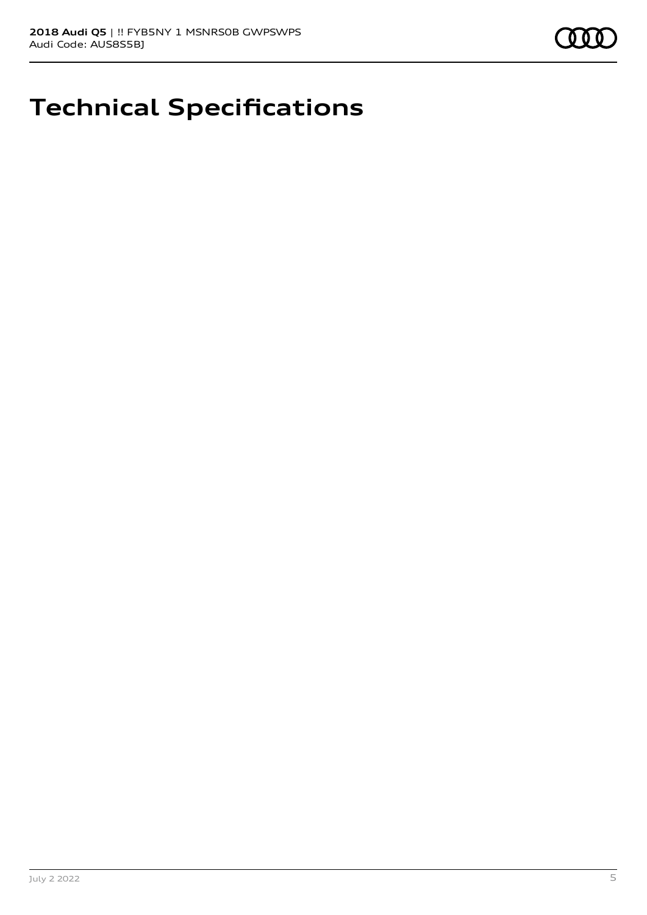

## **Technical Specifications**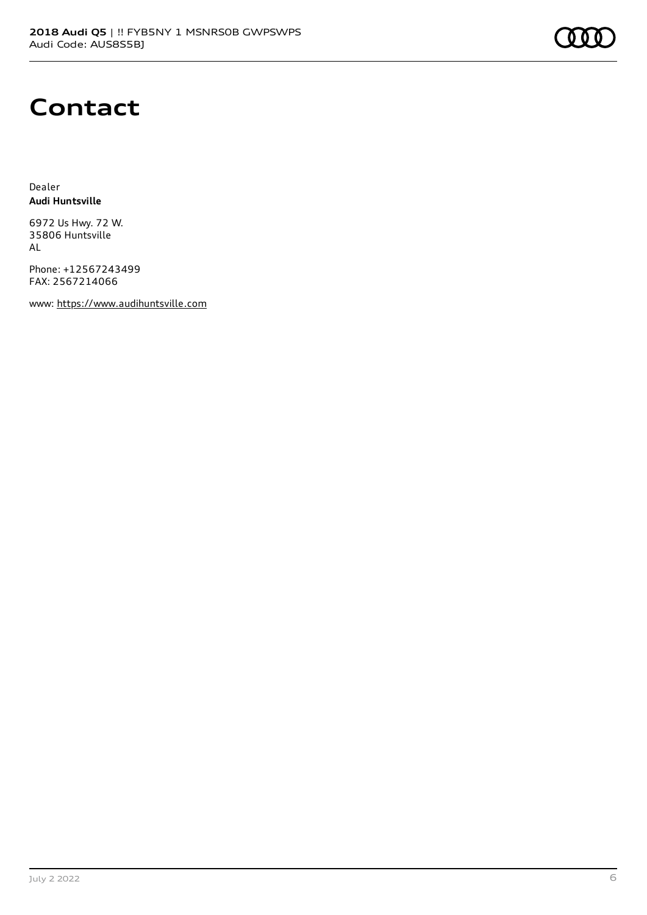

#### **Contact**

Dealer **Audi Huntsville**

6972 Us Hwy. 72 W. 35806 Huntsville AL

Phone: +12567243499 FAX: 2567214066

www: [https://www.audihuntsville.com](https://www.audihuntsville.com/)